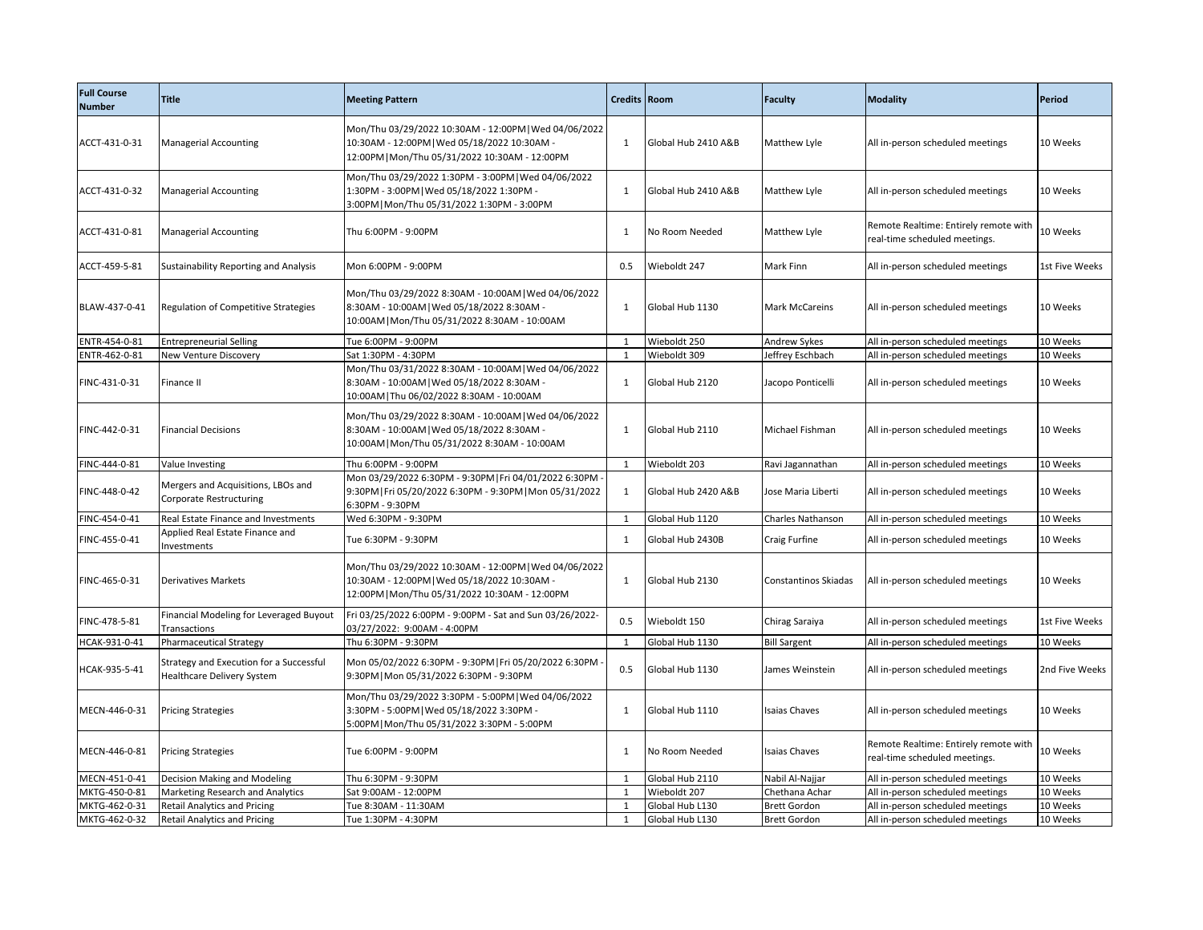| <b>Full Course</b><br><b>Number</b> | <b>Title</b>                                                                 | <b>Meeting Pattern</b>                                                                                                                                  | <b>Credits Room</b> |                     | Faculty              | Modality                                                               | Period         |
|-------------------------------------|------------------------------------------------------------------------------|---------------------------------------------------------------------------------------------------------------------------------------------------------|---------------------|---------------------|----------------------|------------------------------------------------------------------------|----------------|
| ACCT-431-0-31                       | Managerial Accounting                                                        | Mon/Thu 03/29/2022 10:30AM - 12:00PM   Wed 04/06/2022<br>10:30AM - 12:00PM   Wed 05/18/2022 10:30AM -<br>12:00PM   Mon/Thu 05/31/2022 10:30AM - 12:00PM | 1                   | Global Hub 2410 A&B | Matthew Lyle         | All in-person scheduled meetings                                       | 10 Weeks       |
| ACCT-431-0-32                       | <b>Managerial Accounting</b>                                                 | Mon/Thu 03/29/2022 1:30PM - 3:00PM   Wed 04/06/2022<br>1:30PM - 3:00PM   Wed 05/18/2022 1:30PM -<br>3:00PM   Mon/Thu 05/31/2022 1:30PM - 3:00PM         | 1                   | Global Hub 2410 A&B | Matthew Lyle         | All in-person scheduled meetings                                       | 10 Weeks       |
| ACCT-431-0-81                       | <b>Managerial Accounting</b>                                                 | Thu 6:00PM - 9:00PM                                                                                                                                     | 1                   | No Room Needed      | Matthew Lyle         | Remote Realtime: Entirely remote with<br>real-time scheduled meetings. | 10 Weeks       |
| ACCT-459-5-81                       | Sustainability Reporting and Analysis                                        | Mon 6:00PM - 9:00PM                                                                                                                                     | 0.5                 | Wieboldt 247        | Mark Finn            | All in-person scheduled meetings                                       | 1st Five Weeks |
| BLAW-437-0-41                       | Regulation of Competitive Strategies                                         | Mon/Thu 03/29/2022 8:30AM - 10:00AM   Wed 04/06/2022<br>8:30AM - 10:00AM   Wed 05/18/2022 8:30AM -<br>10:00AM   Mon/Thu 05/31/2022 8:30AM - 10:00AM     | 1                   | Global Hub 1130     | Mark McCareins       | All in-person scheduled meetings                                       | 10 Weeks       |
| ENTR-454-0-81                       | <b>Entrepreneurial Selling</b>                                               | Tue 6:00PM - 9:00PM                                                                                                                                     | $\mathbf{1}$        | Wieboldt 250        | Andrew Sykes         | All in-person scheduled meetings                                       | 10 Weeks       |
| ENTR-462-0-81                       | New Venture Discovery                                                        | Sat 1:30PM - 4:30PM                                                                                                                                     | $\mathbf{1}$        | Wieboldt 309        | Jeffrey Eschbach     | All in-person scheduled meetings                                       | 10 Weeks       |
| INC-431-0-31                        | Finance II                                                                   | Mon/Thu 03/31/2022 8:30AM - 10:00AM   Wed 04/06/2022<br>8:30AM - 10:00AM   Wed 05/18/2022 8:30AM -<br>10:00AM   Thu 06/02/2022 8:30AM - 10:00AM         | 1                   | Global Hub 2120     | Jacopo Ponticelli    | All in-person scheduled meetings                                       | 10 Weeks       |
| FINC-442-0-31                       | <b>Financial Decisions</b>                                                   | Mon/Thu 03/29/2022 8:30AM - 10:00AM   Wed 04/06/2022<br>8:30AM - 10:00AM   Wed 05/18/2022 8:30AM -<br>10:00AM   Mon/Thu 05/31/2022 8:30AM - 10:00AM     | 1                   | Global Hub 2110     | Michael Fishman      | All in-person scheduled meetings                                       | 10 Weeks       |
| FINC-444-0-81                       | Value Investing                                                              | Thu 6:00PM - 9:00PM                                                                                                                                     | $\mathbf{1}$        | Wieboldt 203        | Ravi Jagannathan     | All in-person scheduled meetings                                       | 10 Weeks       |
| INC-448-0-42                        | Mergers and Acquisitions, LBOs and<br>Corporate Restructuring                | Mon 03/29/2022 6:30PM - 9:30PM   Fri 04/01/2022 6:30PM<br>9:30PM   Fri 05/20/2022 6:30PM - 9:30PM   Mon 05/31/2022<br>6:30PM - 9:30PM                   | $\mathbf{1}$        | Global Hub 2420 A&B | Jose Maria Liberti   | All in-person scheduled meetings                                       | 10 Weeks       |
| FINC-454-0-41                       | Real Estate Finance and Investments                                          | Wed 6:30PM - 9:30PM                                                                                                                                     | $\overline{1}$      | Global Hub 1120     | Charles Nathanson    | All in-person scheduled meetings                                       | 10 Weeks       |
| FINC-455-0-41                       | Applied Real Estate Finance and<br>Investments                               | Tue 6:30PM - 9:30PM                                                                                                                                     | 1                   | Global Hub 2430B    | Craig Furfine        | All in-person scheduled meetings                                       | 10 Weeks       |
| FINC-465-0-31                       | Derivatives Markets                                                          | Mon/Thu 03/29/2022 10:30AM - 12:00PM   Wed 04/06/2022<br>10:30AM - 12:00PM   Wed 05/18/2022 10:30AM -<br>12:00PM   Mon/Thu 05/31/2022 10:30AM - 12:00PM | 1                   | Global Hub 2130     | Constantinos Skiadas | All in-person scheduled meetings                                       | 10 Weeks       |
| FINC-478-5-81                       | Financial Modeling for Leveraged Buyout<br>Transactions                      | Fri 03/25/2022 6:00PM - 9:00PM - Sat and Sun 03/26/2022-<br>03/27/2022: 9:00AM - 4:00PM                                                                 | 0.5                 | Wieboldt 150        | Chirag Saraiya       | All in-person scheduled meetings                                       | 1st Five Weeks |
| HCAK-931-0-41                       | Pharmaceutical Strategy                                                      | Thu 6:30PM - 9:30PM                                                                                                                                     | $\mathbf{1}$        | Global Hub 1130     | <b>Bill Sargent</b>  | All in-person scheduled meetings                                       | 10 Weeks       |
| ICAK-935-5-41                       | Strategy and Execution for a Successful<br><b>Healthcare Delivery System</b> | Mon 05/02/2022 6:30PM - 9:30PM   Fri 05/20/2022 6:30PM<br>9:30PM   Mon 05/31/2022 6:30PM - 9:30PM                                                       | 0.5                 | Global Hub 1130     | James Weinstein      | All in-person scheduled meetings                                       | 2nd Five Weeks |
| MECN-446-0-31                       | <b>Pricing Strategies</b>                                                    | Mon/Thu 03/29/2022 3:30PM - 5:00PM   Wed 04/06/2022<br>3:30PM - 5:00PM   Wed 05/18/2022 3:30PM -<br>5:00PM   Mon/Thu 05/31/2022 3:30PM - 5:00PM         | 1                   | Global Hub 1110     | <b>Isaias Chaves</b> | All in-person scheduled meetings                                       | 10 Weeks       |
| MECN-446-0-81                       | <b>Pricing Strategies</b>                                                    | Tue 6:00PM - 9:00PM                                                                                                                                     | 1                   | No Room Needed      | <b>Isaias Chaves</b> | Remote Realtime: Entirely remote with<br>real-time scheduled meetings. | 10 Weeks       |
| MECN-451-0-41                       | Decision Making and Modeling                                                 | Thu 6:30PM - 9:30PM                                                                                                                                     | $\mathbf{1}$        | Global Hub 2110     | Nabil Al-Najjar      | All in-person scheduled meetings                                       | 10 Weeks       |
| MKTG-450-0-81                       | Marketing Research and Analytics                                             | Sat 9:00AM - 12:00PM                                                                                                                                    | $\mathbf{1}$        | Wieboldt 207        | Chethana Achar       | All in-person scheduled meetings                                       | 10 Weeks       |
| MKTG-462-0-31                       | <b>Retail Analytics and Pricing</b>                                          | Tue 8:30AM - 11:30AM                                                                                                                                    | $\mathbf{1}$        | Global Hub L130     | <b>Brett Gordon</b>  | All in-person scheduled meetings                                       | 10 Weeks       |
| MKTG-462-0-32                       | <b>Retail Analytics and Pricing</b>                                          | Tue 1:30PM - 4:30PM                                                                                                                                     | $\mathbf{1}$        | Global Hub L130     | <b>Brett Gordon</b>  | All in-person scheduled meetings                                       | 10 Weeks       |